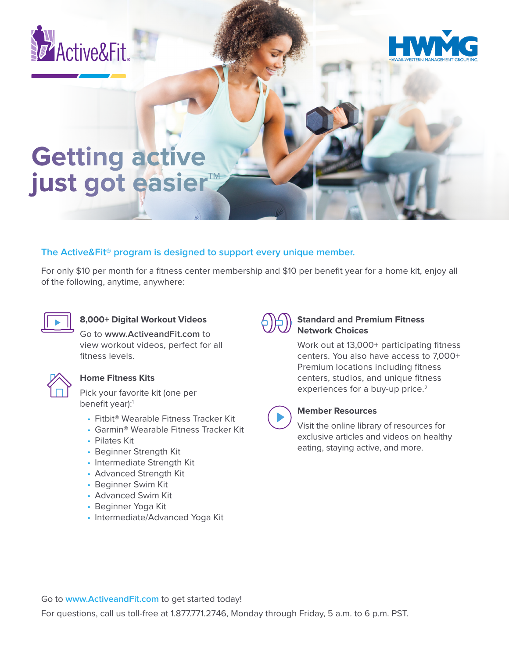



# **Getting active just got easier™**

## **The Active&Fit® program is designed to support every unique member.**

For only \$10 per month for a fitness center membership and \$10 per benefit year for a home kit, enjoy all of the following, anytime, anywhere:



## **8,000+ Digital Workout Videos**

Go to **www.ActiveandFit.com** to view workout videos, perfect for all fitness levels.



#### **Home Fitness Kits**

Pick your favorite kit (one per benefit year):<sup>1</sup>

- Fitbit® Wearable Fitness Tracker Kit
- Garmin® Wearable Fitness Tracker Kit
- Pilates Kit
- Beginner Strength Kit
- Intermediate Strength Kit
- Advanced Strength Kit
- Beginner Swim Kit
- Advanced Swim Kit
- Beginner Yoga Kit
- Intermediate/Advanced Yoga Kit



#### **Standard and Premium Fitness Network Choices**

Work out at 13,000+ participating fitness centers. You also have access to 7,000+ Premium locations including fitness centers, studios, and unique fitness experiences for a buy-up price.<sup>2</sup>



### **Member Resources**

Visit the online library of resources for exclusive articles and videos on healthy eating, staying active, and more.

Go to **www.ActiveandFit.com** to get started today!